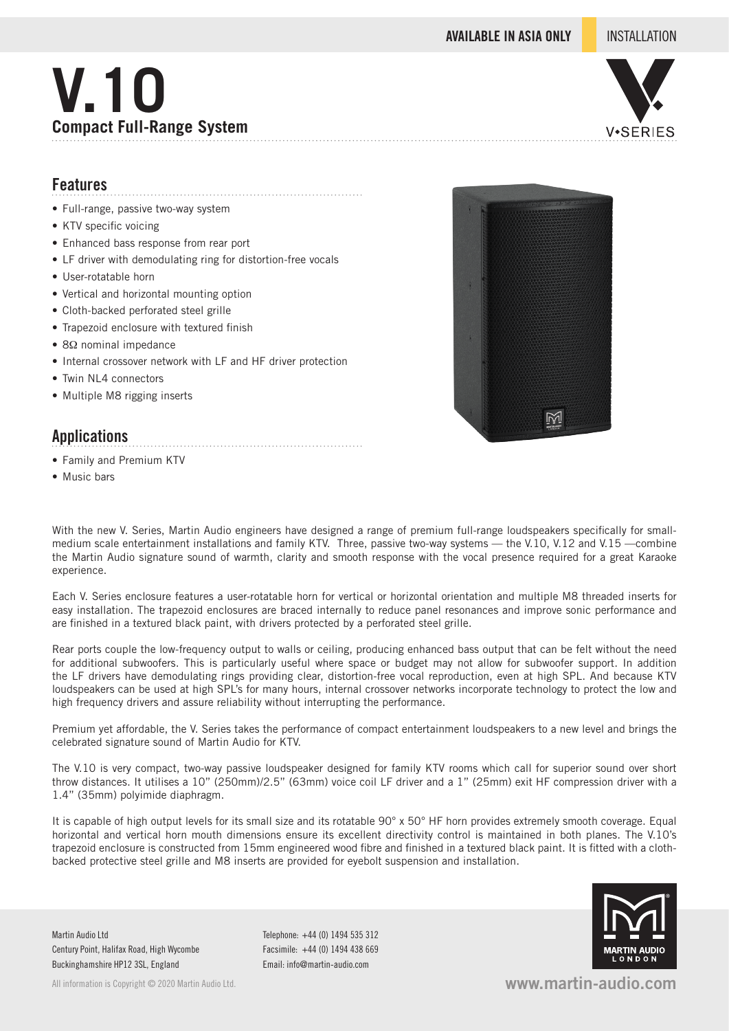**AVAILABLE IN ASIA ONLY** INSTALLATION

# **V.10 Compact Full-Range System**



### **Features**

- Full-range, passive two-way system
- KTV specific voicing
- Enhanced bass response from rear port
- LF driver with demodulating ring for distortion-free vocals

- User-rotatable horn
- Vertical and horizontal mounting option
- Cloth-backed perforated steel grille
- Trapezoid enclosure with textured finish
- 8Ω nominal impedance
- Internal crossover network with LF and HF driver protection
- Twin NL4 connectors
- Multiple M8 rigging inserts

### **Applications**

- Family and Premium KTV
- Music bars



With the new V. Series, Martin Audio engineers have designed a range of premium full-range loudspeakers specifically for smallmedium scale entertainment installations and family KTV. Three, passive two-way systems — the V.10, V.12 and V.15 —combine the Martin Audio signature sound of warmth, clarity and smooth response with the vocal presence required for a great Karaoke experience.

Each V. Series enclosure features a user-rotatable horn for vertical or horizontal orientation and multiple M8 threaded inserts for easy installation. The trapezoid enclosures are braced internally to reduce panel resonances and improve sonic performance and are finished in a textured black paint, with drivers protected by a perforated steel grille.

Rear ports couple the low-frequency output to walls or ceiling, producing enhanced bass output that can be felt without the need for additional subwoofers. This is particularly useful where space or budget may not allow for subwoofer support. In addition the LF drivers have demodulating rings providing clear, distortion-free vocal reproduction, even at high SPL. And because KTV loudspeakers can be used at high SPL's for many hours, internal crossover networks incorporate technology to protect the low and high frequency drivers and assure reliability without interrupting the performance.

Premium yet affordable, the V. Series takes the performance of compact entertainment loudspeakers to a new level and brings the celebrated signature sound of Martin Audio for KTV.

The V.10 is very compact, two-way passive loudspeaker designed for family KTV rooms which call for superior sound over short throw distances. It utilises a 10" (250mm)/2.5" (63mm) voice coil LF driver and a 1" (25mm) exit HF compression driver with a 1.4" (35mm) polyimide diaphragm.

It is capable of high output levels for its small size and its rotatable 90° x 50° HF horn provides extremely smooth coverage. Equal horizontal and vertical horn mouth dimensions ensure its excellent directivity control is maintained in both planes. The V.10's trapezoid enclosure is constructed from 15mm engineered wood fibre and finished in a textured black paint. It is fitted with a clothbacked protective steel grille and M8 inserts are provided for eyebolt suspension and installation.

Martin Audio Ltd Century Point, Halifax Road, High Wycombe Buckinghamshire HP12 3SL, England

All information is Copyright © 2020 Martin Audio Ltd.

Telephone: +44 (0) 1494 535 312 Facsimile: +44 (0) 1494 438 669 Email: info@martin-audio.com



**www.martin-audio.com**